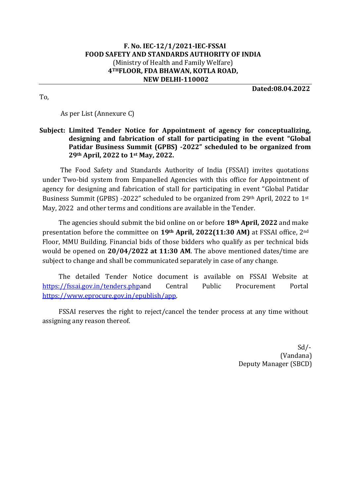#### **F. No. [IEC-12/1/2021-IEC-FSSAI](https://fssai.eoffice.gov.in/eFile/?x=WXNgRo*sKiljRQc8uc6lFZ1WypQx2Wxt) FOOD SAFETY AND STANDARDS AUTHORITY OF INDIA**  (Ministry of Health and Family Welfare) **4THFLOOR, FDA BHAWAN, KOTLA ROAD, NEW DELHI-110002**

**Dated:08.04.2022**

To,

As per List (Annexure C)

### **Subject: Limited Tender Notice for Appointment of agency for conceptualizing, designing and fabrication of stall for participating in the event "Global Patidar Business Summit (GPBS) -2022" scheduled to be organized from 29th April, 2022 to 1st May, 2022.**

The Food Safety and Standards Authority of India (FSSAI) invites quotations under Two-bid system from Empanelled Agencies with this office for Appointment of agency for designing and fabrication of stall for participating in event "Global Patidar Business Summit (GPBS) -2022" scheduled to be organized from 29th April, 2022 to 1st May, 2022 and other terms and conditions are available in the Tender.

The agencies should submit the bid online on or before **18th April, 2022** and make presentation before the committee on **19th April, 2022(11:30 AM)** at FSSAI office, 2nd Floor, MMU Building. Financial bids of those bidders who qualify as per technical bids would be opened on **20/04/2022 at 11:30 AM**. The above mentioned dates/time are subject to change and shall be communicated separately in case of any change.

The detailed Tender Notice document is available on FSSAI Website at [https://fssai.gov.in/tenders.phpa](https://fssai.gov.in/tenders.php)nd Central Public Procurement Portal [https://www.eprocure.gov.in/epublish/app.](https://www.eprocure.gov.in/epublish/app)

FSSAI reserves the right to reject/cancel the tender process at any time without assigning any reason thereof.

> Sd/- (Vandana) Deputy Manager (SBCD)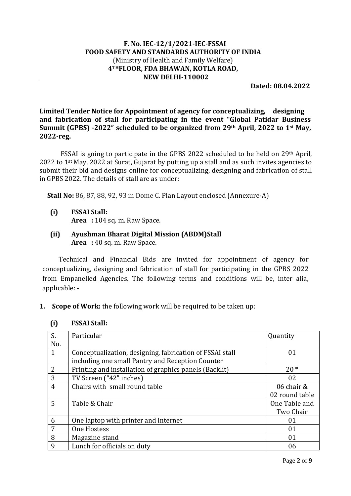#### **F. No. [IEC-12/1/2021-IEC-FSSAI](https://fssai.eoffice.gov.in/eFile/?x=WXNgRo*sKiljRQc8uc6lFZ1WypQx2Wxt) FOOD SAFETY AND STANDARDS AUTHORITY OF INDIA**  (Ministry of Health and Family Welfare) **4THFLOOR, FDA BHAWAN, KOTLA ROAD, NEW DELHI-110002**

**Dated: 08.04.2022**

**Limited Tender Notice for Appointment of agency for conceptualizing, designing and fabrication of stall for participating in the event "Global Patidar Business Summit (GPBS) -2022" scheduled to be organized from 29th April, 2022 to 1st May, 2022-reg.** 

FSSAI is going to participate in the GPBS 2022 scheduled to be held on 29th April, 2022 to 1<sup>st</sup> May, 2022 at Surat, Gujarat by putting up a stall and as such invites agencies to submit their bid and designs online for conceptualizing, designing and fabrication of stall in GPBS 2022. The details of stall are as under:

 **Stall No:** 86, 87, 88, 92, 93 in Dome C. Plan Layout enclosed (Annexure-A)

- **(i) FSSAI Stall: Area :** 104 sq. m. Raw Space.
- **(ii) Ayushman Bharat Digital Mission (ABDM)Stall Area :** 40 sq. m. Raw Space.

Technical and Financial Bids are invited for appointment of agency for conceptualizing, designing and fabrication of stall for participating in the GPBS 2022 from Empanelled Agencies. The following terms and conditions will be, inter alia, applicable: -

**1. Scope of Work:** the following work will be required to be taken up:

| S.             | Particular                                                     | Quantity       |  |
|----------------|----------------------------------------------------------------|----------------|--|
| No.            |                                                                |                |  |
| $\mathbf{1}$   | Conceptualization, designing, fabrication of FSSAI stall<br>01 |                |  |
|                | including one small Pantry and Reception Counter               |                |  |
| $\overline{2}$ | Printing and installation of graphics panels (Backlit)         | $20*$          |  |
| 3              | TV Screen ("42" inches)                                        | 02             |  |
| $\overline{4}$ | Chairs with small round table                                  | 06 chair &     |  |
|                |                                                                | 02 round table |  |
| 5              | Table & Chair                                                  | One Table and  |  |
|                |                                                                | Two Chair      |  |
| 6              | One laptop with printer and Internet                           | 01             |  |
| 7              | One Hostess                                                    | 01             |  |
| 8              | Magazine stand                                                 | 01             |  |
| 9              | Lunch for officials on duty                                    | 06             |  |

#### **(i) FSSAI Stall:**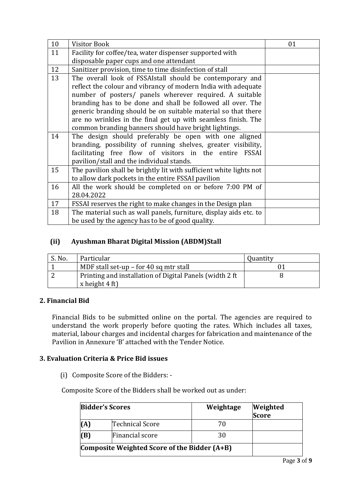| 10 | <b>Visitor Book</b>                                                 | 01 |  |  |  |  |
|----|---------------------------------------------------------------------|----|--|--|--|--|
| 11 | Facility for coffee/tea, water dispenser supported with             |    |  |  |  |  |
|    | disposable paper cups and one attendant                             |    |  |  |  |  |
| 12 | Sanitizer provision, time to time disinfection of stall             |    |  |  |  |  |
| 13 | The overall look of FSSAIstall should be contemporary and           |    |  |  |  |  |
|    | reflect the colour and vibrancy of modern India with adequate       |    |  |  |  |  |
|    | number of posters/ panels wherever required. A suitable             |    |  |  |  |  |
|    | branding has to be done and shall be followed all over. The         |    |  |  |  |  |
|    | generic branding should be on suitable material so that there       |    |  |  |  |  |
|    | are no wrinkles in the final get up with seamless finish. The       |    |  |  |  |  |
|    | common branding banners should have bright lightings.               |    |  |  |  |  |
| 14 | The design should preferably be open with one aligned               |    |  |  |  |  |
|    | branding, possibility of running shelves, greater visibility,       |    |  |  |  |  |
|    | facilitating free flow of visitors in the entire FSSAI              |    |  |  |  |  |
|    | pavilion/stall and the individual stands.                           |    |  |  |  |  |
| 15 | The pavilion shall be brightly lit with sufficient white lights not |    |  |  |  |  |
|    | to allow dark pockets in the entire FSSAI pavilion                  |    |  |  |  |  |
| 16 | All the work should be completed on or before 7:00 PM of            |    |  |  |  |  |
|    | 28.04.2022                                                          |    |  |  |  |  |
| 17 | FSSAI reserves the right to make changes in the Design plan         |    |  |  |  |  |
| 18 | The material such as wall panels, furniture, display aids etc. to   |    |  |  |  |  |
|    | be used by the agency has to be of good quality.                    |    |  |  |  |  |

# **(ii) Ayushman Bharat Digital Mission (ABDM)Stall**

| S. No. | Particular                                                                          | Quantity |
|--------|-------------------------------------------------------------------------------------|----------|
|        | MDF stall set-up $-$ for 40 sq mtr stall                                            |          |
|        | Printing and installation of Digital Panels (width 2 ft)<br>x height $4 \text{ ft}$ |          |

## **2. Financial Bid**

Financial Bids to be submitted online on the portal. The agencies are required to understand the work properly before quoting the rates. Which includes all taxes, material, labour charges and incidental charges for fabrication and maintenance of the Pavilion in Annexure 'B' attached with the Tender Notice.

## **3. Evaluation Criteria & Price Bid issues**

(i) Composite Score of the Bidders: -

Composite Score of the Bidders shall be worked out as under:

|                                                | <b>Bidder's Scores</b> | Weightage | <b>Weighted</b><br><b>Score</b> |
|------------------------------------------------|------------------------|-----------|---------------------------------|
| (A)                                            | Technical Score        | 70        |                                 |
| (B)                                            | Financial score        | 30        |                                 |
| Composite Weighted Score of the Bidder $(A+B)$ |                        |           |                                 |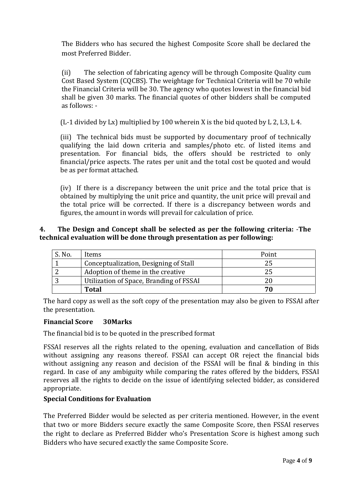The Bidders who has secured the highest Composite Score shall be declared the most Preferred Bidder.

(ii) The selection of fabricating agency will be through Composite Quality cum Cost Based System (CQCBS). The weightage for Technical Criteria will be 70 while the Financial Criteria will be 30. The agency who quotes lowest in the financial bid shall be given 30 marks. The financial quotes of other bidders shall be computed as follows: -

(L-1 divided by Lx) multiplied by 100 wherein X is the bid quoted by L 2, L3, L 4.

(iii) The technical bids must be supported by documentary proof of technically qualifying the laid down criteria and samples/photo etc. of listed items and presentation. For financial bids, the offers should be restricted to only financial/price aspects. The rates per unit and the total cost be quoted and would be as per format attached.

(iv) If there is a discrepancy between the unit price and the total price that is obtained by multiplying the unit price and quantity, the unit price will prevail and the total price will be corrected. If there is a discrepancy between words and figures, the amount in words will prevail for calculation of price.

### **4. The Design and Concept shall be selected as per the following criteria:** -**The technical evaluation will be done through presentation as per following:**

| S. No. | Items                                   | Point |
|--------|-----------------------------------------|-------|
|        | Conceptualization, Designing of Stall   |       |
|        | Adoption of theme in the creative       |       |
|        | Utilization of Space, Branding of FSSAI |       |
|        | <b>Total</b>                            |       |

The hard copy as well as the soft copy of the presentation may also be given to FSSAI after the presentation.

### **Financial Score 30Marks**

The financial bid is to be quoted in the prescribed format

FSSAI reserves all the rights related to the opening, evaluation and cancellation of Bids without assigning any reasons thereof. FSSAI can accept OR reject the financial bids without assigning any reason and decision of the FSSAI will be final & binding in this regard. In case of any ambiguity while comparing the rates offered by the bidders, FSSAI reserves all the rights to decide on the issue of identifying selected bidder, as considered appropriate.

## **Special Conditions for Evaluation**

The Preferred Bidder would be selected as per criteria mentioned. However, in the event that two or more Bidders secure exactly the same Composite Score, then FSSAI reserves the right to declare as Preferred Bidder who's Presentation Score is highest among such Bidders who have secured exactly the same Composite Score.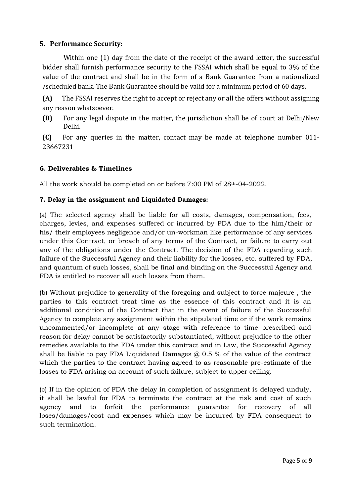### **5. Performance Security:**

Within one (1) day from the date of the receipt of the award letter, the successful bidder shall furnish performance security to the FSSAI which shall be equal to 3% of the value of the contract and shall be in the form of a Bank Guarantee from a nationalized /scheduled bank. The Bank Guarantee should be valid for a minimum period of 60 days.

**(A)** The FSSAI reserves the right to accept or reject any or all the offers without assigning any reason whatsoever.

**(B)** For any legal dispute in the matter, the jurisdiction shall be of court at Delhi/New Delhi.

**(C)** For any queries in the matter, contact may be made at telephone number 011- 23667231

### **6. Deliverables & Timelines**

All the work should be completed on or before 7:00 PM of 28th-04-2022.

### **7. Delay in the assignment and Liquidated Damages:**

(a) The selected agency shall be liable for all costs, damages, compensation, fees, charges, levies, and expenses suffered or incurred by FDA due to the him/their or his/ their employees negligence and/or un-workman like performance of any services under this Contract, or breach of any terms of the Contract, or failure to carry out any of the obligations under the Contract. The decision of the FDA regarding such failure of the Successful Agency and their liability for the losses, etc. suffered by FDA, and quantum of such losses, shall be final and binding on the Successful Agency and FDA is entitled to recover all such losses from them.

(b) Without prejudice to generality of the foregoing and subject to force majeure , the parties to this contract treat time as the essence of this contract and it is an additional condition of the Contract that in the event of failure of the Successful Agency to complete any assignment within the stipulated time or if the work remains uncommented/or incomplete at any stage with reference to time prescribed and reason for delay cannot be satisfactorily substantiated, without prejudice to the other remedies available to the FDA under this contract and in Law, the Successful Agency shall be liable to pay FDA Liquidated Damages  $\omega$  0.5 % of the value of the contract which the parties to the contract having agreed to as reasonable pre-estimate of the losses to FDA arising on account of such failure, subject to upper ceiling.

(c) If in the opinion of FDA the delay in completion of assignment is delayed unduly, it shall be lawful for FDA to terminate the contract at the risk and cost of such agency and to forfeit the performance guarantee for recovery of all loses/damages/cost and expenses which may be incurred by FDA consequent to such termination.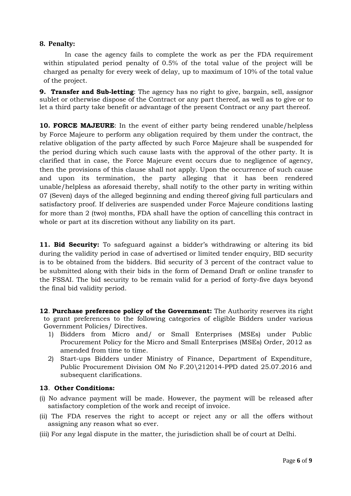#### **8. Penalty:**

In case the agency fails to complete the work as per the FDA requirement within stipulated period penalty of 0.5% of the total value of the project will be charged as penalty for every week of delay, up to maximum of 10% of the total value of the project.

**9. Transfer and Sub-letting**: The agency has no right to give, bargain, sell, assignor sublet or otherwise dispose of the Contract or any part thereof, as well as to give or to let a third party take benefit or advantage of the present Contract or any part thereof.

**10. FORCE MAJEURE**: In the event of either party being rendered unable/helpless by Force Majeure to perform any obligation required by them under the contract, the relative obligation of the party affected by such Force Majeure shall be suspended for the period during which such cause lasts with the approval of the other party. It is clarified that in case, the Force Majeure event occurs due to negligence of agency, then the provisions of this clause shall not apply. Upon the occurrence of such cause and upon its termination, the party alleging that it has been rendered unable/helpless as aforesaid thereby, shall notify to the other party in writing within 07 (Seven) days of the alleged beginning and ending thereof giving full particulars and satisfactory proof. If deliveries are suspended under Force Majeure conditions lasting for more than 2 (two) months, FDA shall have the option of cancelling this contract in whole or part at its discretion without any liability on its part.

**11. Bid Security:** To safeguard against a bidder's withdrawing or altering its bid during the validity period in case of advertised or limited tender enquiry, BID security is to be obtained from the bidders. Bid security of 3 percent of the contract value to be submitted along with their bids in the form of Demand Draft or online transfer to the FSSAI. The bid security to be remain valid for a period of forty-five days beyond the final bid validity period.

**12**. **Purchase preference policy of the Government:** The Authority reserves its right to grant preferences to the following categories of eligible Bidders under various Government Policies/ Directives.

- 1) Bidders from Micro and/ or Small Enterprises (MSEs) under Public Procurement Policy for the Micro and Small Enterprises (MSEs) Order, 2012 as amended from time to time.
- 2) Start-ups Bidders under Ministry of Finance, Department of Expenditure, Public Procurement Division OM No F.20\212014-PPD dated 25.07.2016 and subsequent clarifications.

#### **13**. **Other Conditions:**

- (i) No advance payment will be made. However, the payment will be released after satisfactory completion of the work and receipt of invoice.
- (ii) The FDA reserves the right to accept or reject any or all the offers without assigning any reason what so ever.
- (iii) For any legal dispute in the matter, the jurisdiction shall be of court at Delhi.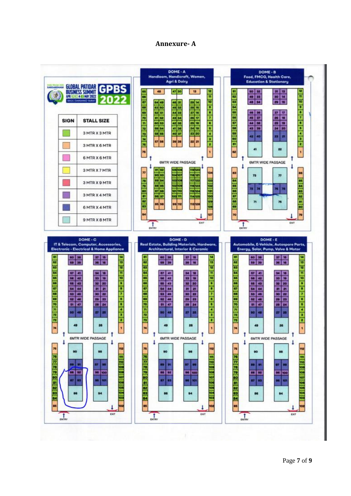### **Annexure- A**

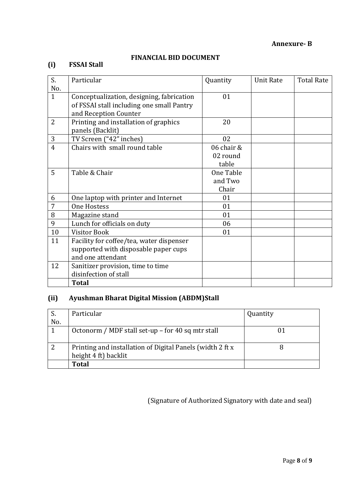**Annexure- B**

## **FINANCIAL BID DOCUMENT**

# **(i) FSSAI Stall**

| S.             | Particular                                | Quantity   | <b>Unit Rate</b> | <b>Total Rate</b> |
|----------------|-------------------------------------------|------------|------------------|-------------------|
| No.            |                                           |            |                  |                   |
| $\mathbf{1}$   | Conceptualization, designing, fabrication | 01         |                  |                   |
|                | of FSSAI stall including one small Pantry |            |                  |                   |
|                | and Reception Counter                     |            |                  |                   |
| $\overline{2}$ | Printing and installation of graphics     | 20         |                  |                   |
|                | panels (Backlit)                          |            |                  |                   |
| 3              | TV Screen ("42" inches)                   | 02         |                  |                   |
| $\overline{4}$ | Chairs with small round table             | 06 chair & |                  |                   |
|                |                                           | 02 round   |                  |                   |
|                |                                           | table      |                  |                   |
| 5              | Table & Chair                             | One Table  |                  |                   |
|                |                                           | and Two    |                  |                   |
|                |                                           | Chair      |                  |                   |
| 6              | One laptop with printer and Internet      | 01         |                  |                   |
| 7              | <b>One Hostess</b>                        | 01         |                  |                   |
| 8              | Magazine stand                            | 01         |                  |                   |
| 9              | Lunch for officials on duty               | 06         |                  |                   |
| 10             | <b>Visitor Book</b>                       | 01         |                  |                   |
| 11             | Facility for coffee/tea, water dispenser  |            |                  |                   |
|                | supported with disposable paper cups      |            |                  |                   |
|                | and one attendant                         |            |                  |                   |
| 12             | Sanitizer provision, time to time         |            |                  |                   |
|                | disinfection of stall                     |            |                  |                   |
|                | <b>Total</b>                              |            |                  |                   |

# **(ii) Ayushman Bharat Digital Mission (ABDM)Stall**

|     | Particular                                                | Quantity |
|-----|-----------------------------------------------------------|----------|
| No. |                                                           |          |
|     | Octonorm / MDF stall set-up – for 40 sq mtr stall         |          |
|     |                                                           |          |
| റ   | Printing and installation of Digital Panels (width 2 ft x |          |
|     | height 4 ft) backlit                                      |          |
|     | <b>Total</b>                                              |          |

(Signature of Authorized Signatory with date and seal)